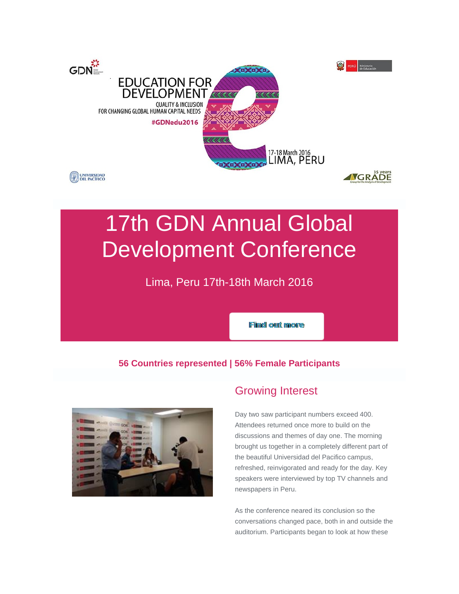

# 17th GDN Annual Global Development Conference

Lima, Peru 17th-18th March 2016

Find out more

## **56 Countries represented | 56% Female Participants**



## Growing Interest

Day two saw participant numbers exceed 400. Attendees returned once more to build on the discussions and themes of day one. The morning brought us together in a completely different part of the beautiful Universidad del Pacifico campus, refreshed, reinvigorated and ready for the day. Key speakers were interviewed by top TV channels and newspapers in Peru.

As the conference neared its conclusion so the conversations changed pace, both in and outside the auditorium. Participants began to look at how these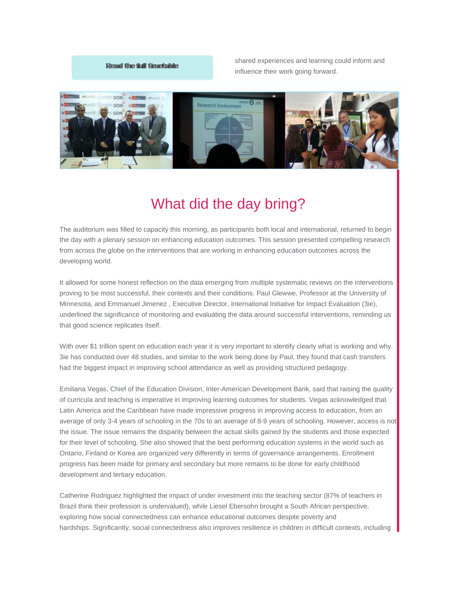### Resad the full timestable

shared experiences and learning could inform and influence their work going forward.



## What did the day bring?

The auditorium was filled to capacity this morning, as participants both local and international, returned to begin the day with a plenary session on enhancing education outcomes. This session presented compelling research from across the globe on the interventions that are working in enhancing education outcomes across the developing world.

It allowed for some honest reflection on the data emerging from multiple systematic reviews on the interventions proving to be most successful, their contexts and their conditions. Paul Glewwe, Professor at the University of Minnesota, and Emmanuel Jimenez , Executive Director, International Initiative for Impact Evaluation (3ie), underlined the significance of monitoring and evaluating the data around successful interventions, reminding us that good science replicates itself.

With over \$1 trillion spent on education each year it is very important to identify clearly what is working and why. 3ie has conducted over 48 studies, and similar to the work being done by Paul, they found that cash transfers had the biggest impact in improving school attendance as well as providing structured pedagogy.

Emiliana Vegas, Chief of the Education Division, Inter-American Development Bank, said that raising the quality of curricula and teaching is imperative in improving learning outcomes for students. Vegas acknowledged that Latin America and the Caribbean have made impressive progress in improving access to education, from an average of only 3-4 years of schooling in the 70s to an average of 8-9 years of schooling. However, access is not the issue. The issue remains the disparity between the actual skills gained by the students and those expected for their level of schooling. She also showed that the best performing education systems in the world such as Ontario, Finland or Korea are organized very differently in terms of governance arrangements. Enrollment progress has been made for primary and secondary but more remains to be done for early childhood development and tertiary education.

Catherine Rodriguez highlighted the impact of under investment into the teaching sector (87% of teachers in Brazil think their profession is undervalued), while Liesel Ebersohn brought a South African perspective, exploring how social connectedness can enhance educational outcomes despite poverty and hardships. Significantly, social connectedness also improves resilience in children in difficult contexts, including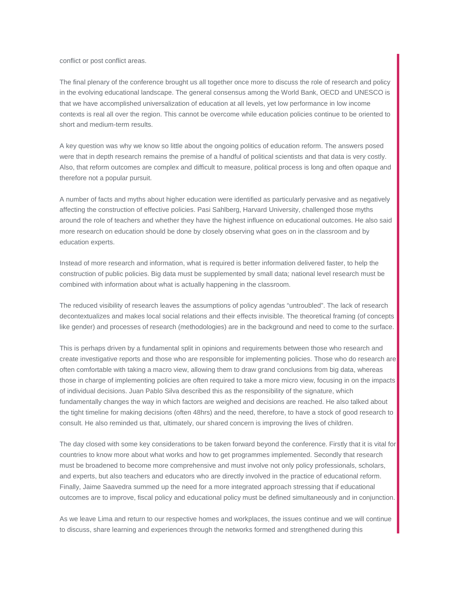conflict or post conflict areas.

The final plenary of the conference brought us all together once more to discuss the role of research and policy in the evolving educational landscape. The general consensus among the World Bank, OECD and UNESCO is that we have accomplished universalization of education at all levels, yet low performance in low income contexts is real all over the region. This cannot be overcome while education policies continue to be oriented to short and medium-term results.

A key question was why we know so little about the ongoing politics of education reform. The answers posed were that in depth research remains the premise of a handful of political scientists and that data is very costly. Also, that reform outcomes are complex and difficult to measure, political process is long and often opaque and therefore not a popular pursuit.

A number of facts and myths about higher education were identified as particularly pervasive and as negatively affecting the construction of effective policies. Pasi Sahlberg, Harvard University, challenged those myths around the role of teachers and whether they have the highest influence on educational outcomes. He also said more research on education should be done by closely observing what goes on in the classroom and by education experts.

Instead of more research and information, what is required is better information delivered faster, to help the construction of public policies. Big data must be supplemented by small data; national level research must be combined with information about what is actually happening in the classroom.

The reduced visibility of research leaves the assumptions of policy agendas "untroubled". The lack of research decontextualizes and makes local social relations and their effects invisible. The theoretical framing (of concepts like gender) and processes of research (methodologies) are in the background and need to come to the surface.

This is perhaps driven by a fundamental split in opinions and requirements between those who research and create investigative reports and those who are responsible for implementing policies. Those who do research are often comfortable with taking a macro view, allowing them to draw grand conclusions from big data, whereas those in charge of implementing policies are often required to take a more micro view, focusing in on the impacts of individual decisions. Juan Pablo Silva described this as the responsibility of the signature, which fundamentally changes the way in which factors are weighed and decisions are reached. He also talked about the tight timeline for making decisions (often 48hrs) and the need, therefore, to have a stock of good research to consult. He also reminded us that, ultimately, our shared concern is improving the lives of children.

The day closed with some key considerations to be taken forward beyond the conference. Firstly that it is vital for countries to know more about what works and how to get programmes implemented. Secondly that research must be broadened to become more comprehensive and must involve not only policy professionals, scholars, and experts, but also teachers and educators who are directly involved in the practice of educational reform. Finally, Jaime Saavedra summed up the need for a more integrated approach stressing that if educational outcomes are to improve, fiscal policy and educational policy must be defined simultaneously and in conjunction.

As we leave Lima and return to our respective homes and workplaces, the issues continue and we will continue to discuss, share learning and experiences through the networks formed and strengthened during this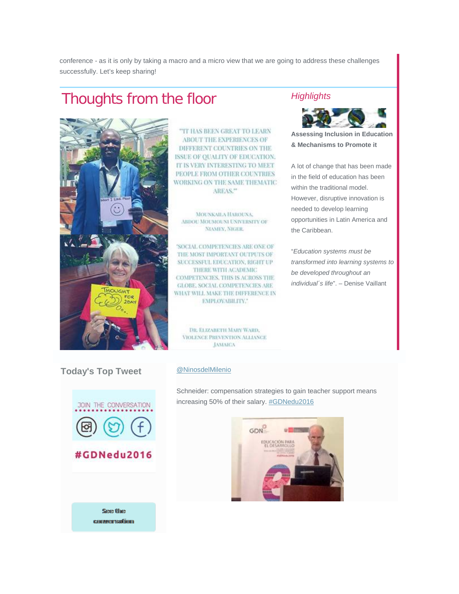conference - as it is only by taking a macro and a micro view that we are going to address these challenges successfully. Let's keep sharing!

## Thoughts from the floor *Highlights*



"IT HAS BEEN GREAT TO LEARN ABOUT THE EXPERIENCES OF DIFFERENT COUNTRIES ON THE **ISSUE OF OUALITY OF EDUCATION.** IT IS VERY INTERESTING TO MEET PEOPLE FROM OTHER COUNTRIES WORKING ON THE SAME THEMATIC AREAS."

MOUNKAILA HAROUNA, ABDOU MOUMOUNI UNIVERSITY OF **NIAMEY, NIGER.** 

'SOCIAL COMPETENCIES ARE ONE OF THE MOST IMPORTANT OUTPUTS OF SUCCESSFUL EDUCATION, RIGHT UP THERE WITH ACADEMIC **COMPETENCIES, THIS IS ACROSS THE GLOBE, SOCIAL COMPETENCIES ARE** WHAT WILL MAKE THE DIFFERENCE IN EMPLOYABILITY."

DR. ELIZARETH MARY WARD, VIOLENCE PREVENTION ALLIANCE **JAMAICA** 



**Assessing Inclusion in Education & Mechanisms to Promote it**

A lot of change that has been made in the field of education has been within the traditional model. However, disruptive innovation is needed to develop learning opportunities in Latin America and the Caribbean.

"*Education systems must be transformed into learning systems to be developed throughout an individual´s life*". – Denise Vaillant

**Today's Top Tweet [@NinosdelMilenio](http://commsconsult.cmail20.com/t/r-i-elklrlk-l-p/)** 



#GDNedu2016

See the commersation

Schneider: compensation strategies to gain teacher support means increasing 50% of their salary. [#GDNedu2016](http://commsconsult.cmail20.com/t/r-i-elklrlk-l-x/)

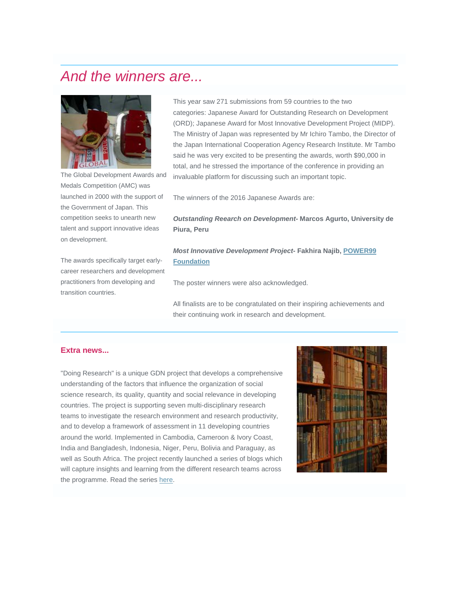## *And the winners are...*



The Global Development Awards and Medals Competition (AMC) was launched in 2000 with the support of the Government of Japan. This competition seeks to unearth new talent and support innovative ideas on development.

The awards specifically target earlycareer researchers and development practitioners from developing and transition countries.

## This year saw 271 submissions from 59 countries to the two categories: Japanese Award for Outstanding Research on Development (ORD); Japanese Award for Most Innovative Development Project (MIDP). The Ministry of Japan was represented by Mr Ichiro Tambo, the Director of the Japan International Cooperation Agency Research Institute. Mr Tambo said he was very excited to be presenting the awards, worth \$90,000 in total, and he stressed the importance of the conference in providing an invaluable platform for discussing such an important topic.

The winners of the 2016 Japanese Awards are:

### *Outstanding Reearch on Development-* **Marcos Agurto, University de Piura, Peru**

## *Most Innovative Development Project***- Fakhira Najib, [POWER99](http://commsconsult.cmail20.com/t/r-i-elklrlk-l-c/)  [Foundation](http://commsconsult.cmail20.com/t/r-i-elklrlk-l-c/)**

The poster winners were also acknowledged.

All finalists are to be congratulated on their inspiring achievements and their continuing work in research and development.

### **Extra news...**

"Doing Research" is a unique GDN project that develops a comprehensive understanding of the factors that influence the organization of social science research, its quality, quantity and social relevance in developing countries. The project is supporting seven multi-disciplinary research teams to investigate the research environment and research productivity, and to develop a framework of assessment in 11 developing countries around the world. Implemented in Cambodia, Cameroon & Ivory Coast, India and Bangladesh, Indonesia, Niger, Peru, Bolivia and Paraguay, as well as South Africa. The project recently launched a series of blogs which will capture insights and learning from the different research teams across the programme. Read the serie[s here.](http://commsconsult.cmail20.com/t/r-i-elklrlk-l-q/)